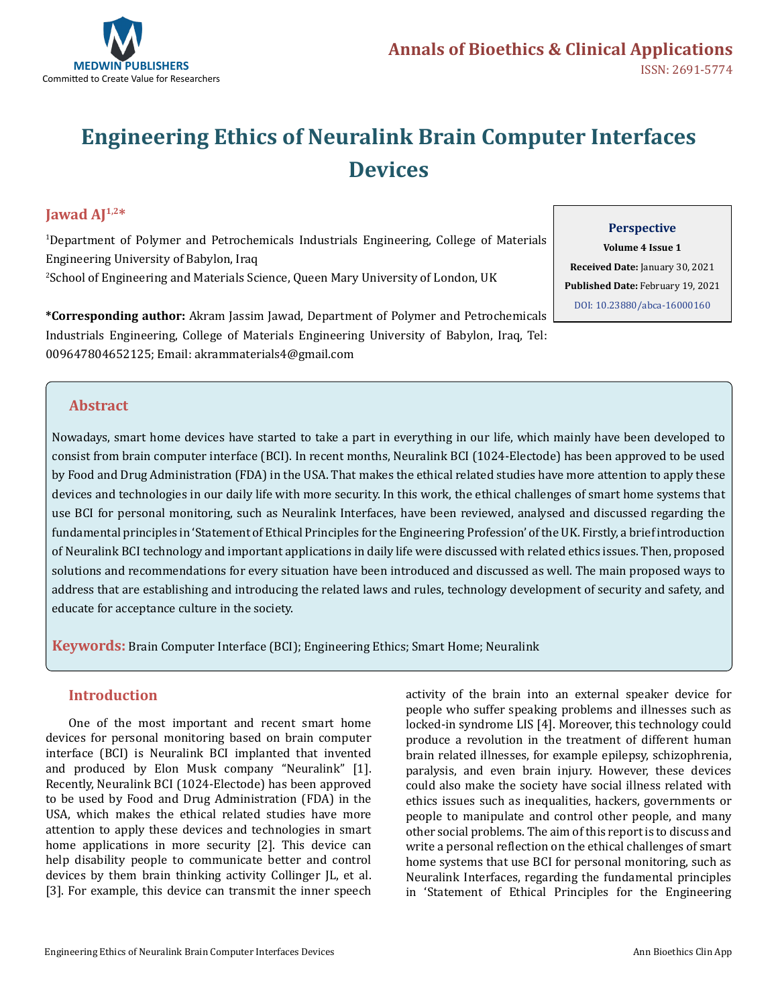

# **Engineering Ethics of Neuralink Brain Computer Interfaces Devices**

# **Jawad AJ** $1,2*$

1 Department of Polymer and Petrochemicals Industrials Engineering, College of Materials Engineering University of Babylon, Iraq 2 School of Engineering and Materials Science, Queen Mary University of London, UK

**\*Corresponding author:** Akram Jassim Jawad, Department of Polymer and Petrochemicals Industrials Engineering, College of Materials Engineering University of Babylon, Iraq, Tel: 009647804652125; Email: akrammaterials4@gmail.com

## **Perspective**

**Volume 4 Issue 1 Received Date:** January 30, 2021 **Published Date:** February 19, 2021 [DOI: 10.23880/abca-16000160](https://doi.org/10.23880/abca-16000160)

## **Abstract**

Nowadays, smart home devices have started to take a part in everything in our life, which mainly have been developed to consist from brain computer interface (BCI). In recent months, Neuralink BCI (1024-Electode) has been approved to be used by Food and Drug Administration (FDA) in the USA. That makes the ethical related studies have more attention to apply these devices and technologies in our daily life with more security. In this work, the ethical challenges of smart home systems that use BCI for personal monitoring, such as Neuralink Interfaces, have been reviewed, analysed and discussed regarding the fundamental principles in 'Statement of Ethical Principles for the Engineering Profession' of the UK. Firstly, a brief introduction of Neuralink BCI technology and important applications in daily life were discussed with related ethics issues. Then, proposed solutions and recommendations for every situation have been introduced and discussed as well. The main proposed ways to address that are establishing and introducing the related laws and rules, technology development of security and safety, and educate for acceptance culture in the society.

**Keywords:** Brain Computer Interface (BCI); Engineering Ethics; Smart Home; Neuralink

## **Introduction**

One of the most important and recent smart home devices for personal monitoring based on brain computer interface (BCI) is Neuralink BCI implanted that invented and produced by Elon Musk company "Neuralink" [1]. Recently, Neuralink BCI (1024-Electode) has been approved to be used by Food and Drug Administration (FDA) in the USA, which makes the ethical related studies have more attention to apply these devices and technologies in smart home applications in more security [2]. This device can help disability people to communicate better and control devices by them brain thinking activity Collinger JL, et al. [3]. For example, this device can transmit the inner speech

activity of the brain into an external speaker device for people who suffer speaking problems and illnesses such as locked-in syndrome LIS [4]. Moreover, this technology could produce a revolution in the treatment of different human brain related illnesses, for example epilepsy, schizophrenia, paralysis, and even brain injury. However, these devices could also make the society have social illness related with ethics issues such as inequalities, hackers, governments or people to manipulate and control other people, and many other social problems. The aim of this report is to discuss and write a personal reflection on the ethical challenges of smart home systems that use BCI for personal monitoring, such as Neuralink Interfaces, regarding the fundamental principles in 'Statement of Ethical Principles for the Engineering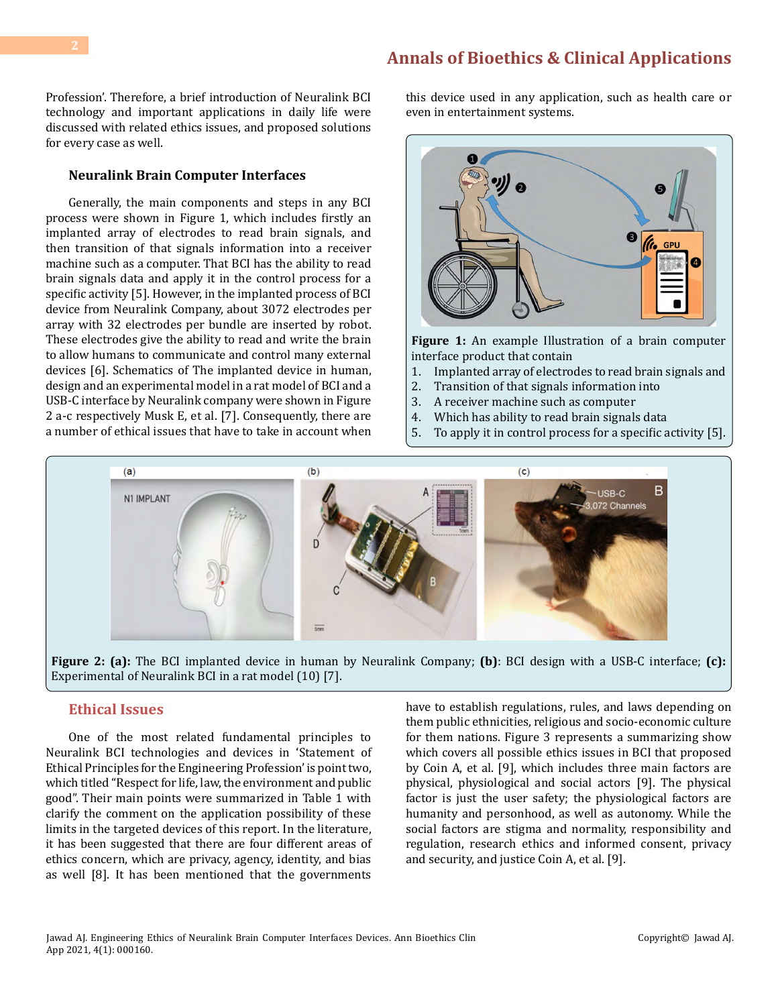# **[Annals of Bioethics & Clinical Applications](https://medwinpublishers.com/ABCA/)**

Profession'. Therefore, a brief introduction of Neuralink BCI technology and important applications in daily life were discussed with related ethics issues, and proposed solutions for every case as well.

#### **Neuralink Brain Computer Interfaces**

Generally, the main components and steps in any BCI process were shown in Figure 1, which includes firstly an implanted array of electrodes to read brain signals, and then transition of that signals information into a receiver machine such as a computer. That BCI has the ability to read brain signals data and apply it in the control process for a specific activity [5]. However, in the implanted process of BCI device from Neuralink Company, about 3072 electrodes per array with 32 electrodes per bundle are inserted by robot. These electrodes give the ability to read and write the brain to allow humans to communicate and control many external devices [6]. Schematics of The implanted device in human, design and an experimental model in a rat model of BCI and a USB-C interface by Neuralink company were shown in Figure 2 a-c respectively Musk E, et al. [7]. Consequently, there are a number of ethical issues that have to take in account when this device used in any application, such as health care or even in entertainment systems.



**Figure 1:** An example Illustration of a brain computer interface product that contain<br>1. Implanted array of electro

- 1. Implanted array of electrodes to read brain signals and<br>2. Transition of that signals information into
- 2. Transition of that signals information into<br>3. A receiver machine such as computer
- 3. A receiver machine such as computer
- 4. Which has ability to read brain signals data
- 5. To apply it in control process for a specific activity [5].



**Figure 2: (a):** The BCI implanted device in human by Neuralink Company; **(b)**: BCI design with a USB-C interface; **(c):**  Experimental of Neuralink BCI in a rat model (10) [7].

#### **Ethical Issues**

One of the most related fundamental principles to Neuralink BCI technologies and devices in 'Statement of Ethical Principles for the Engineering Profession' is point two, which titled "Respect for life, law, the environment and public good". Their main points were summarized in Table 1 with clarify the comment on the application possibility of these limits in the targeted devices of this report. In the literature, it has been suggested that there are four different areas of ethics concern, which are privacy, agency, identity, and bias as well [8]. It has been mentioned that the governments

have to establish regulations, rules, and laws depending on them public ethnicities, religious and socio-economic culture for them nations. Figure 3 represents a summarizing show which covers all possible ethics issues in BCI that proposed by Coin A, et al. [9], which includes three main factors are physical, physiological and social actors [9]. The physical factor is just the user safety; the physiological factors are humanity and personhood, as well as autonomy. While the social factors are stigma and normality, responsibility and regulation, research ethics and informed consent, privacy and security, and justice Coin A, et al. [9].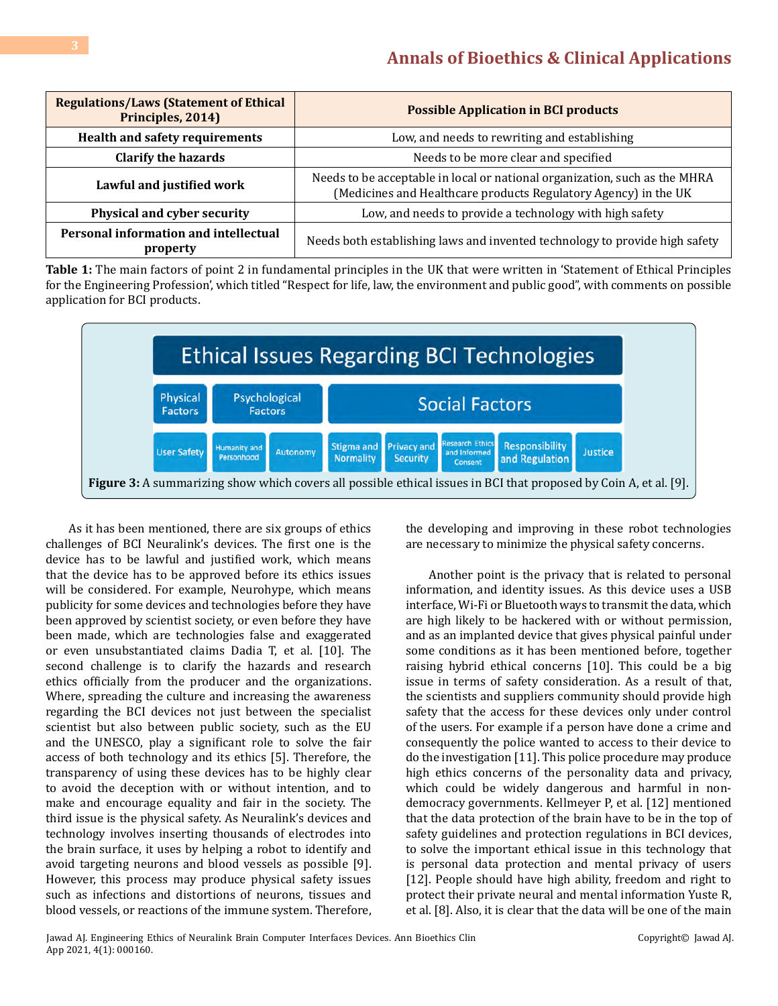| <b>Regulations/Laws (Statement of Ethical</b><br>Principles, 2014) | <b>Possible Application in BCI products</b>                                                                                                   |
|--------------------------------------------------------------------|-----------------------------------------------------------------------------------------------------------------------------------------------|
| <b>Health and safety requirements</b>                              | Low, and needs to rewriting and establishing                                                                                                  |
| <b>Clarify the hazards</b>                                         | Needs to be more clear and specified                                                                                                          |
| Lawful and justified work                                          | Needs to be acceptable in local or national organization, such as the MHRA<br>(Medicines and Healthcare products Regulatory Agency) in the UK |
| Physical and cyber security                                        | Low, and needs to provide a technology with high safety                                                                                       |
| Personal information and intellectual<br>property                  | Needs both establishing laws and invented technology to provide high safety                                                                   |

**Table 1:** The main factors of point 2 in fundamental principles in the UK that were written in 'Statement of Ethical Principles for the Engineering Profession', which titled "Respect for life, law, the environment and public good", with comments on possible application for BCI products.



As it has been mentioned, there are six groups of ethics challenges of BCI Neuralink's devices. The first one is the device has to be lawful and justified work, which means that the device has to be approved before its ethics issues will be considered. For example, Neurohype, which means publicity for some devices and technologies before they have been approved by scientist society, or even before they have been made, which are technologies false and exaggerated or even unsubstantiated claims Dadia T, et al. [10]. The second challenge is to clarify the hazards and research ethics officially from the producer and the organizations. Where, spreading the culture and increasing the awareness regarding the BCI devices not just between the specialist scientist but also between public society, such as the EU and the UNESCO, play a significant role to solve the fair access of both technology and its ethics [5]. Therefore, the transparency of using these devices has to be highly clear to avoid the deception with or without intention, and to make and encourage equality and fair in the society. The third issue is the physical safety. As Neuralink's devices and technology involves inserting thousands of electrodes into the brain surface, it uses by helping a robot to identify and avoid targeting neurons and blood vessels as possible [9]. However, this process may produce physical safety issues such as infections and distortions of neurons, tissues and blood vessels, or reactions of the immune system. Therefore,

the developing and improving in these robot technologies are necessary to minimize the physical safety concerns.

Another point is the privacy that is related to personal information, and identity issues. As this device uses a USB interface, Wi-Fi or Bluetooth ways to transmit the data, which are high likely to be hackered with or without permission, and as an implanted device that gives physical painful under some conditions as it has been mentioned before, together raising hybrid ethical concerns [10]. This could be a big issue in terms of safety consideration. As a result of that, the scientists and suppliers community should provide high safety that the access for these devices only under control of the users. For example if a person have done a crime and consequently the police wanted to access to their device to do the investigation [11]. This police procedure may produce high ethics concerns of the personality data and privacy, which could be widely dangerous and harmful in nondemocracy governments. Kellmeyer P, et al. [12] mentioned that the data protection of the brain have to be in the top of safety guidelines and protection regulations in BCI devices, to solve the important ethical issue in this technology that is personal data protection and mental privacy of users [12]. People should have high ability, freedom and right to protect their private neural and mental information Yuste R, et al. [8]. Also, it is clear that the data will be one of the main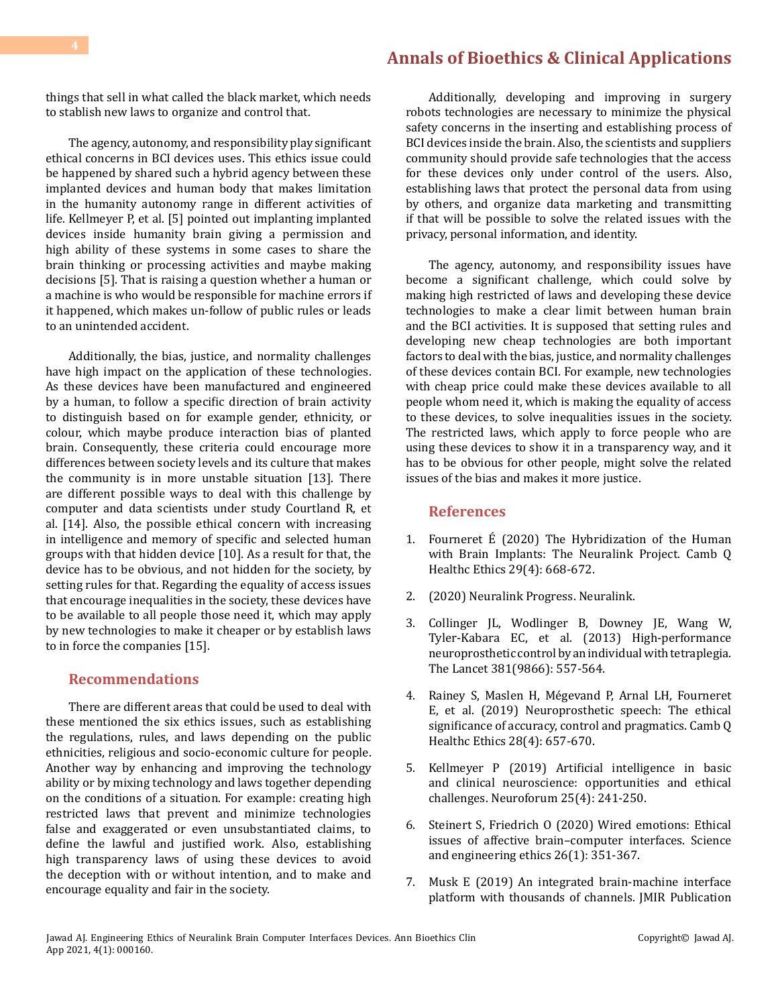things that sell in what called the black market, which needs to stablish new laws to organize and control that.

The agency, autonomy, and responsibility play significant ethical concerns in BCI devices uses. This ethics issue could be happened by shared such a hybrid agency between these implanted devices and human body that makes limitation in the humanity autonomy range in different activities of life. Kellmeyer P, et al. [5] pointed out implanting implanted devices inside humanity brain giving a permission and high ability of these systems in some cases to share the brain thinking or processing activities and maybe making decisions [5]. That is raising a question whether a human or a machine is who would be responsible for machine errors if it happened, which makes un-follow of public rules or leads to an unintended accident.

Additionally, the bias, justice, and normality challenges have high impact on the application of these technologies. As these devices have been manufactured and engineered by a human, to follow a specific direction of brain activity to distinguish based on for example gender, ethnicity, or colour, which maybe produce interaction bias of planted brain. Consequently, these criteria could encourage more differences between society levels and its culture that makes the community is in more unstable situation [13]. There are different possible ways to deal with this challenge by computer and data scientists under study Courtland R, et al. [14]. Also, the possible ethical concern with increasing in intelligence and memory of specific and selected human groups with that hidden device [10]. As a result for that, the device has to be obvious, and not hidden for the society, by setting rules for that. Regarding the equality of access issues that encourage inequalities in the society, these devices have to be available to all people those need it, which may apply by new technologies to make it cheaper or by establish laws to in force the companies [15].

#### **Recommendations**

There are different areas that could be used to deal with these mentioned the six ethics issues, such as establishing the regulations, rules, and laws depending on the public ethnicities, religious and socio-economic culture for people. Another way by enhancing and improving the technology ability or by mixing technology and laws together depending on the conditions of a situation. For example: creating high restricted laws that prevent and minimize technologies false and exaggerated or even unsubstantiated claims, to define the lawful and justified work. Also, establishing high transparency laws of using these devices to avoid the deception with or without intention, and to make and encourage equality and fair in the society.

Additionally, developing and improving in surgery robots technologies are necessary to minimize the physical safety concerns in the inserting and establishing process of BCI devices inside the brain. Also, the scientists and suppliers community should provide safe technologies that the access for these devices only under control of the users. Also, establishing laws that protect the personal data from using by others, and organize data marketing and transmitting if that will be possible to solve the related issues with the privacy, personal information, and identity.

The agency, autonomy, and responsibility issues have become a significant challenge, which could solve by making high restricted of laws and developing these device technologies to make a clear limit between human brain and the BCI activities. It is supposed that setting rules and developing new cheap technologies are both important factors to deal with the bias, justice, and normality challenges of these devices contain BCI. For example, new technologies with cheap price could make these devices available to all people whom need it, which is making the equality of access to these devices, to solve inequalities issues in the society. The restricted laws, which apply to force people who are using these devices to show it in a transparency way, and it has to be obvious for other people, might solve the related issues of the bias and makes it more justice.

#### **References**

- 1. [Fourneret É \(2020\) The Hybridization of the Human](https://pubmed.ncbi.nlm.nih.gov/32892780/)  [with Brain Implants: The Neuralink Project. Camb Q](https://pubmed.ncbi.nlm.nih.gov/32892780/)  [Healthc Ethics 29\(4\): 668-672.](https://pubmed.ncbi.nlm.nih.gov/32892780/)
- 2. (2020) Neuralink Progress. Neuralink.
- 3. [Collinger JL, Wodlinger B, Downey JE, Wang W,](https://pubmed.ncbi.nlm.nih.gov/23253623/)  [Tyler-Kabara EC, et al. \(2013\) High-performance](https://pubmed.ncbi.nlm.nih.gov/23253623/) [neuroprosthetic control by an individual with tetraplegia.](https://pubmed.ncbi.nlm.nih.gov/23253623/)  [The Lancet 381\(9866\): 557-564.](https://pubmed.ncbi.nlm.nih.gov/23253623/)
- 4. [Rainey S, Maslen H, Mégevand P, Arnal LH, Fourneret](https://pubmed.ncbi.nlm.nih.gov/31475659/)  [E, et al. \(2019\) Neuroprosthetic speech: The ethical](https://pubmed.ncbi.nlm.nih.gov/31475659/)  [significance of accuracy, control and pragmatics. Camb Q](https://pubmed.ncbi.nlm.nih.gov/31475659/)  [Healthc Ethics 28\(4\): 657-670.](https://pubmed.ncbi.nlm.nih.gov/31475659/)
- 5. [Kellmeyer P \(2019\) Artificial intelligence in basic](https://www.degruyter.com/document/doi/10.1515/nf-2019-0018/html) [and clinical neuroscience: opportunities and ethical](https://www.degruyter.com/document/doi/10.1515/nf-2019-0018/html)  [challenges. Neuroforum 25\(4\): 241-250.](https://www.degruyter.com/document/doi/10.1515/nf-2019-0018/html)
- 6. [Steinert S, Friedrich O \(2020\) Wired emotions: Ethical](https://link.springer.com/article/10.1007/s11948-019-00087-2)  [issues of affective brain–computer interfaces. Science](https://link.springer.com/article/10.1007/s11948-019-00087-2) [and engineering ethics 26\(1\): 351-367.](https://link.springer.com/article/10.1007/s11948-019-00087-2)
- 7. [Musk E \(2019\) An integrated brain-machine interface](https://www.jmir.org/2019/10/e16194/)  [platform with thousands of channels. JMIR Publication](https://www.jmir.org/2019/10/e16194/)